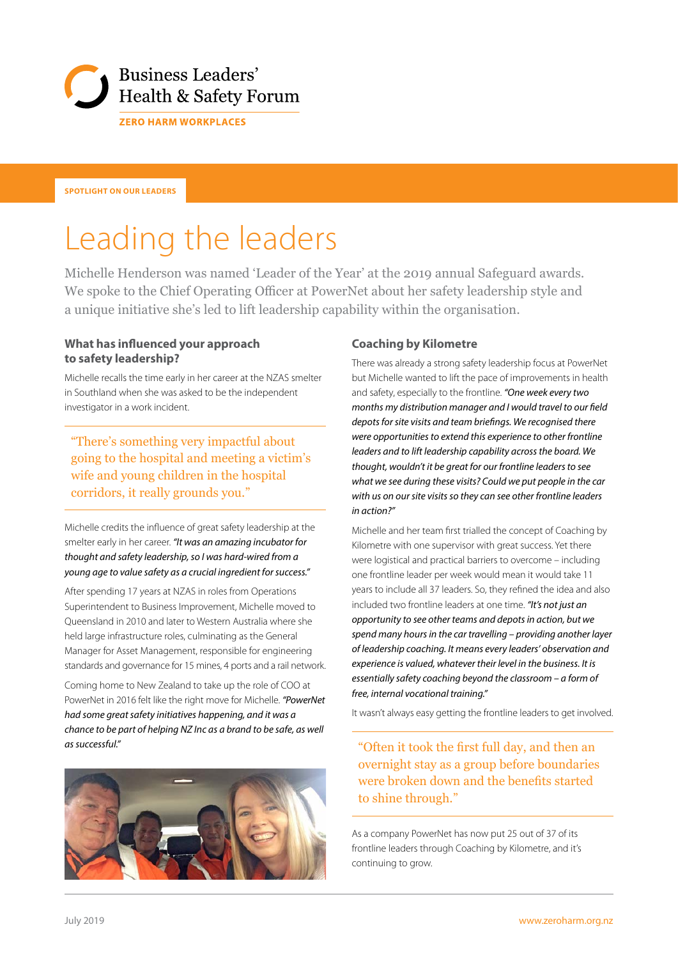

**SPOTLIGHT ON OUR LEADERS**

# Leading the leaders

Michelle Henderson was named 'Leader of the Year' at the 2019 annual Safeguard awards. We spoke to the Chief Operating Officer at PowerNet about her safety leadership style and a unique initiative she's led to lift leadership capability within the organisation.

#### **What has influenced your approach to safety leadership?**

Michelle recalls the time early in her career at the NZAS smelter in Southland when she was asked to be the independent investigator in a work incident.

"There's something very impactful about going to the hospital and meeting a victim's wife and young children in the hospital corridors, it really grounds you."

Michelle credits the influence of great safety leadership at the smelter early in her career. *"It was an amazing incubator for thought and safety leadership, so I was hard-wired from a young age to value safety as a crucial ingredient for success."*

After spending 17 years at NZAS in roles from Operations Superintendent to Business Improvement, Michelle moved to Queensland in 2010 and later to Western Australia where she held large infrastructure roles, culminating as the General Manager for Asset Management, responsible for engineering standards and governance for 15 mines, 4 ports and a rail network.

Coming home to New Zealand to take up the role of COO at PowerNet in 2016 felt like the right move for Michelle. *"PowerNet had some great safety initiatives happening, and it was a chance to be part of helping NZ Inc as a brand to be safe, as well as successful."*



#### **Coaching by Kilometre**

There was already a strong safety leadership focus at PowerNet but Michelle wanted to lift the pace of improvements in health and safety, especially to the frontline. *"One week every two months my distribution manager and I would travel to our field depots for site visits and team briefings. We recognised there were opportunities to extend this experience to other frontline leaders and to lift leadership capability across the board. We thought, wouldn't it be great for our frontline leaders to see what we see during these visits? Could we put people in the car with us on our site visits so they can see other frontline leaders in action?"*

Michelle and her team first trialled the concept of Coaching by Kilometre with one supervisor with great success. Yet there were logistical and practical barriers to overcome – including one frontline leader per week would mean it would take 11 years to include all 37 leaders. So, they refined the idea and also included two frontline leaders at one time. *"It's not just an opportunity to see other teams and depots in action, but we spend many hours in the car travelling – providing another layer of leadership coaching. It means every leaders' observation and experience is valued, whatever their level in the business. It is essentially safety coaching beyond the classroom – a form of free, internal vocational training."*

It wasn't always easy getting the frontline leaders to get involved.

### "Often it took the first full day, and then an overnight stay as a group before boundaries were broken down and the benefits started to shine through."

As a company PowerNet has now put 25 out of 37 of its frontline leaders through Coaching by Kilometre, and it's continuing to grow.